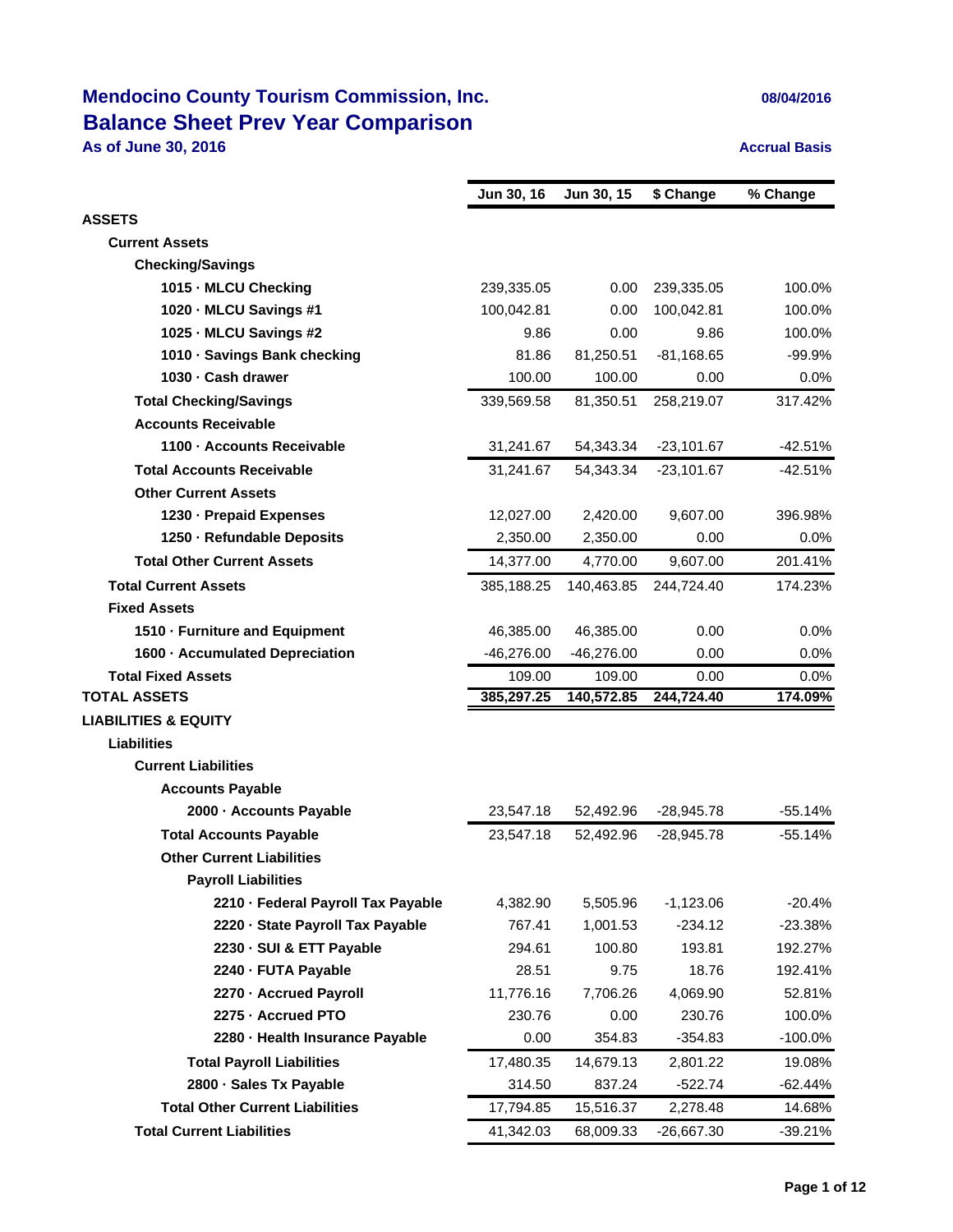# **Mendocino County Tourism Commission, Inc. 08/04/2016 Balance Sheet Prev Year Comparison**

**As of June 30, 2016 Accrual Basis Accrual Basis** 

|                                        | Jun 30, 16   | Jun 30, 15   | \$ Change    | % Change   |
|----------------------------------------|--------------|--------------|--------------|------------|
| <b>ASSETS</b>                          |              |              |              |            |
| <b>Current Assets</b>                  |              |              |              |            |
| <b>Checking/Savings</b>                |              |              |              |            |
| 1015 MLCU Checking                     | 239,335.05   | 0.00         | 239,335.05   | 100.0%     |
| 1020 MLCU Savings #1                   | 100,042.81   | 0.00         | 100,042.81   | 100.0%     |
| 1025 MLCU Savings #2                   | 9.86         | 0.00         | 9.86         | 100.0%     |
| 1010 Savings Bank checking             | 81.86        | 81,250.51    | $-81,168.65$ | $-99.9%$   |
| 1030 Cash drawer                       | 100.00       | 100.00       | 0.00         | 0.0%       |
| <b>Total Checking/Savings</b>          | 339,569.58   | 81,350.51    | 258,219.07   | 317.42%    |
| <b>Accounts Receivable</b>             |              |              |              |            |
| 1100 Accounts Receivable               | 31,241.67    | 54,343.34    | $-23,101.67$ | $-42.51%$  |
| <b>Total Accounts Receivable</b>       | 31,241.67    | 54,343.34    | $-23,101.67$ | -42.51%    |
| <b>Other Current Assets</b>            |              |              |              |            |
| 1230 - Prepaid Expenses                | 12,027.00    | 2,420.00     | 9,607.00     | 396.98%    |
| 1250 - Refundable Deposits             | 2,350.00     | 2,350.00     | 0.00         | 0.0%       |
| <b>Total Other Current Assets</b>      | 14,377.00    | 4,770.00     | 9,607.00     | 201.41%    |
| <b>Total Current Assets</b>            | 385,188.25   | 140,463.85   | 244,724.40   | 174.23%    |
| <b>Fixed Assets</b>                    |              |              |              |            |
| 1510 - Furniture and Equipment         | 46,385.00    | 46,385.00    | 0.00         | 0.0%       |
| 1600 - Accumulated Depreciation        | $-46,276.00$ | $-46,276.00$ | 0.00         | 0.0%       |
| <b>Total Fixed Assets</b>              | 109.00       | 109.00       | 0.00         | 0.0%       |
| <b>TOTAL ASSETS</b>                    | 385,297.25   | 140,572.85   | 244,724.40   | 174.09%    |
| <b>LIABILITIES &amp; EQUITY</b>        |              |              |              |            |
| <b>Liabilities</b>                     |              |              |              |            |
| <b>Current Liabilities</b>             |              |              |              |            |
| <b>Accounts Payable</b>                |              |              |              |            |
| 2000 - Accounts Payable                | 23,547.18    | 52,492.96    | $-28,945.78$ | $-55.14%$  |
| <b>Total Accounts Payable</b>          | 23,547.18    | 52,492.96    | $-28,945.78$ | $-55.14%$  |
| <b>Other Current Liabilities</b>       |              |              |              |            |
| <b>Payroll Liabilities</b>             |              |              |              |            |
| 2210 - Federal Payroll Tax Payable     | 4,382.90     | 5,505.96     | $-1,123.06$  | $-20.4%$   |
| 2220 - State Payroll Tax Payable       | 767.41       | 1,001.53     | $-234.12$    | $-23.38%$  |
| 2230 - SUI & ETT Payable               | 294.61       | 100.80       | 193.81       | 192.27%    |
| 2240 - FUTA Payable                    | 28.51        | 9.75         | 18.76        | 192.41%    |
| 2270 - Accrued Payroll                 | 11,776.16    | 7,706.26     | 4,069.90     | 52.81%     |
| 2275 - Accrued PTO                     | 230.76       | 0.00         | 230.76       | 100.0%     |
| 2280 - Health Insurance Payable        | 0.00         | 354.83       | $-354.83$    | $-100.0\%$ |
| <b>Total Payroll Liabilities</b>       | 17,480.35    | 14,679.13    | 2,801.22     | 19.08%     |
| 2800 · Sales Tx Payable                | 314.50       | 837.24       | $-522.74$    | -62.44%    |
| <b>Total Other Current Liabilities</b> | 17,794.85    | 15,516.37    | 2,278.48     | 14.68%     |
| <b>Total Current Liabilities</b>       | 41,342.03    | 68,009.33    | -26,667.30   | $-39.21%$  |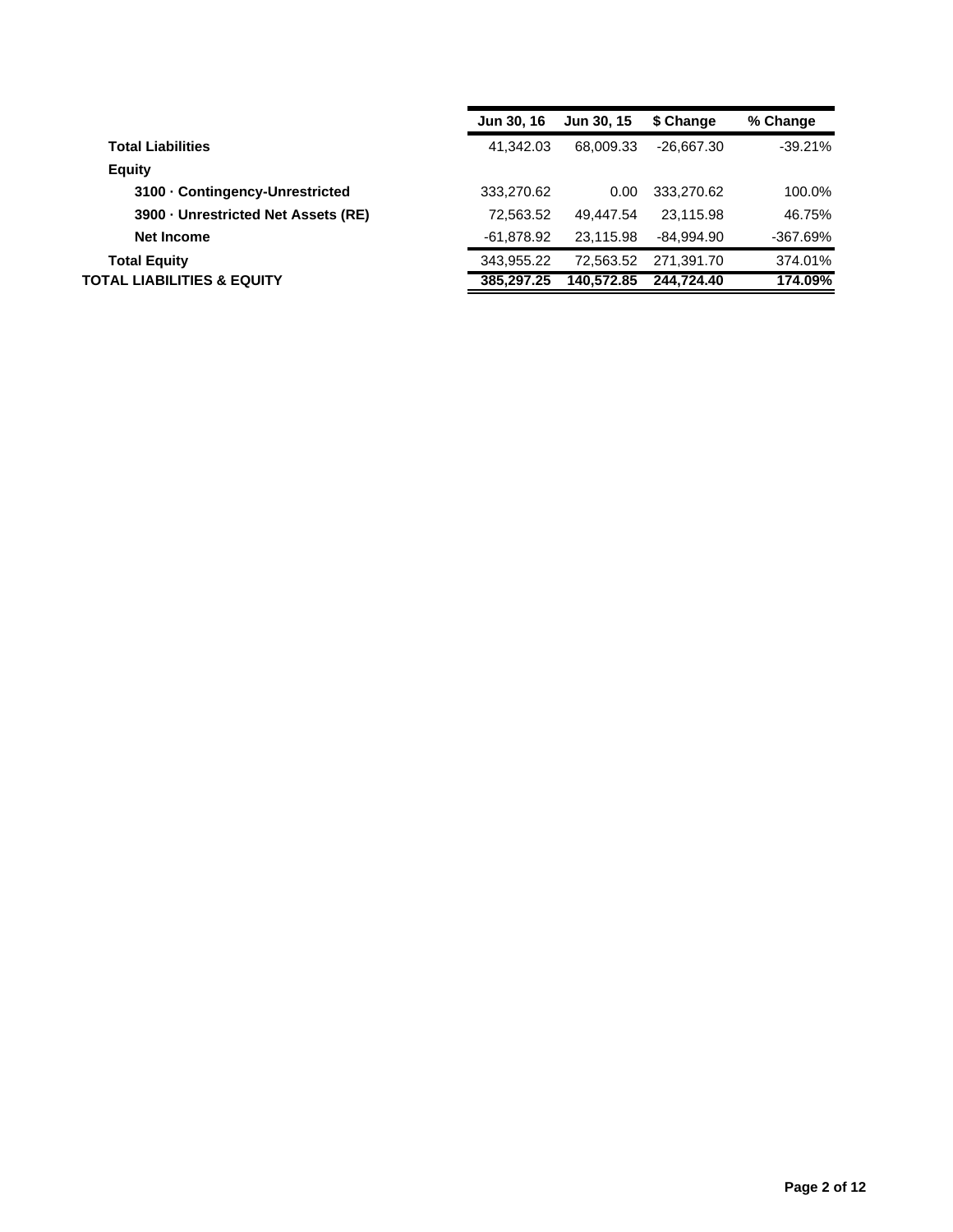|                                   | <b>Jun 30, 16</b> | <b>Jun 30, 15</b> | \$ Change    | % Change   |
|-----------------------------------|-------------------|-------------------|--------------|------------|
| <b>Total Liabilities</b>          | 41.342.03         | 68.009.33         | $-26.667.30$ | $-39.21%$  |
| <b>Equity</b>                     |                   |                   |              |            |
| 3100 Contingency-Unrestricted     | 333,270.62        | 0.00              | 333,270.62   | 100.0%     |
| 3900 Unrestricted Net Assets (RE) | 72.563.52         | 49.447.54         | 23.115.98    | 46.75%     |
| Net Income                        | -61,878.92        | 23.115.98         | -84.994.90   | $-367.69%$ |
| <b>Total Equity</b>               | 343.955.22        | 72.563.52         | 271.391.70   | 374.01%    |
| TOTAL LIABILITIES & EQUITY        | 385.297.25        | 140.572.85        | 244.724.40   | 174.09%    |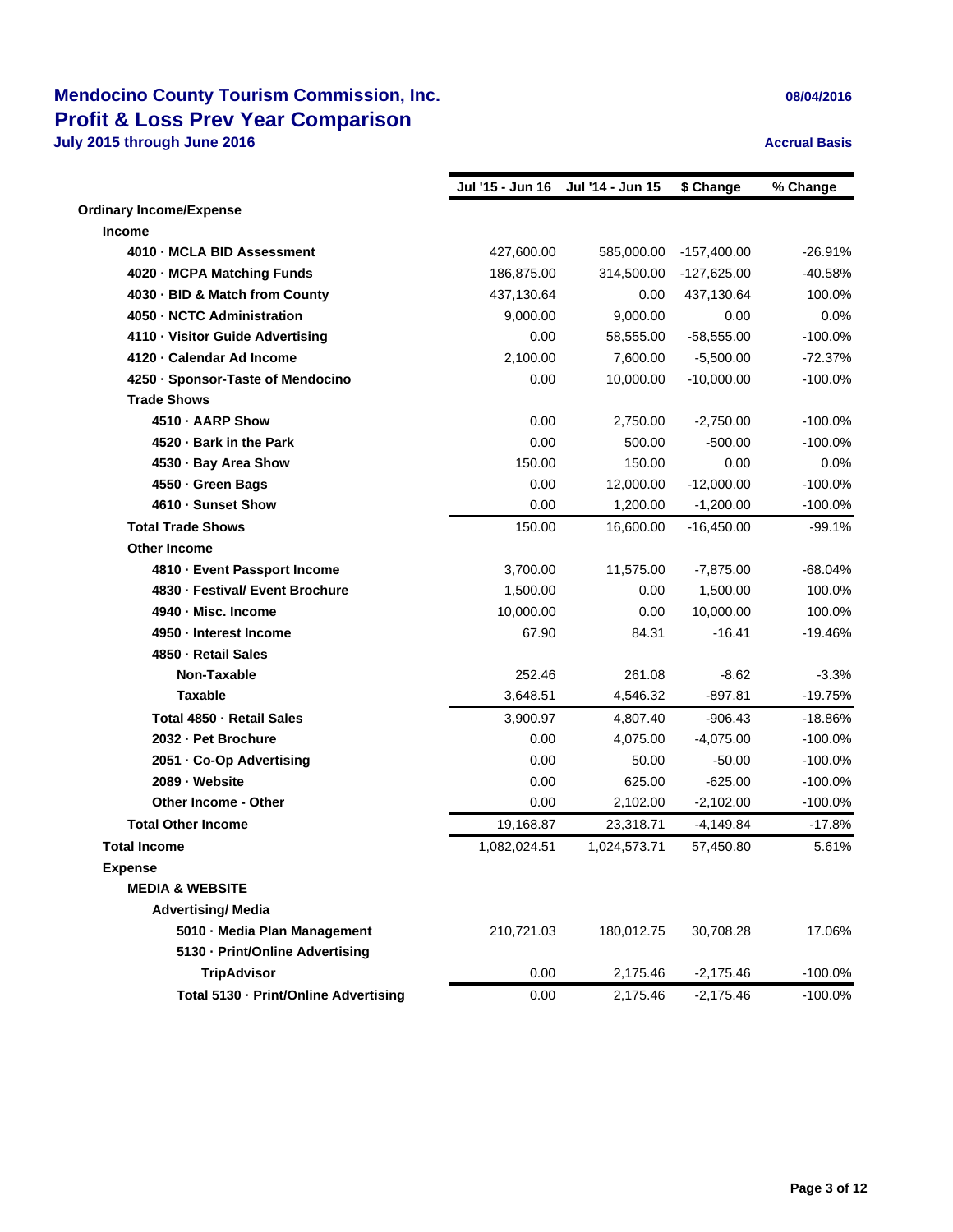### **Mendocino County Tourism Commission, Inc. 1996 12016 1997 12016 08/04/2016 Profit & Loss Prev Year Comparison**

**July 2015 through June 2016 Accrual Basis Accrual Basis** 

|                                       | Jul '15 - Jun 16 | Jul '14 - Jun 15 | \$ Change     | % Change   |
|---------------------------------------|------------------|------------------|---------------|------------|
| <b>Ordinary Income/Expense</b>        |                  |                  |               |            |
| Income                                |                  |                  |               |            |
| 4010 - MCLA BID Assessment            | 427,600.00       | 585,000.00       | $-157,400.00$ | $-26.91%$  |
| 4020 - MCPA Matching Funds            | 186,875.00       | 314,500.00       | $-127,625.00$ | $-40.58%$  |
| 4030 - BID & Match from County        | 437,130.64       | 0.00             | 437,130.64    | 100.0%     |
| 4050 - NCTC Administration            | 9,000.00         | 9,000.00         | 0.00          | 0.0%       |
| 4110 - Visitor Guide Advertising      | 0.00             | 58,555.00        | $-58,555.00$  | $-100.0%$  |
| 4120 - Calendar Ad Income             | 2.100.00         | 7,600.00         | $-5,500.00$   | $-72.37%$  |
| 4250 · Sponsor-Taste of Mendocino     | 0.00             | 10,000.00        | $-10,000.00$  | $-100.0\%$ |
| <b>Trade Shows</b>                    |                  |                  |               |            |
| 4510 - AARP Show                      | 0.00             | 2,750.00         | $-2,750.00$   | $-100.0\%$ |
| 4520 - Bark in the Park               | 0.00             | 500.00           | $-500.00$     | $-100.0%$  |
| 4530 · Bay Area Show                  | 150.00           | 150.00           | 0.00          | 0.0%       |
| 4550 - Green Bags                     | 0.00             | 12,000.00        | $-12,000.00$  | $-100.0%$  |
| 4610 - Sunset Show                    | 0.00             | 1,200.00         | $-1,200.00$   | $-100.0%$  |
| <b>Total Trade Shows</b>              | 150.00           | 16,600.00        | $-16,450.00$  | -99.1%     |
| <b>Other Income</b>                   |                  |                  |               |            |
| 4810 - Event Passport Income          | 3,700.00         | 11,575.00        | $-7,875.00$   | $-68.04%$  |
| 4830 - Festival/ Event Brochure       | 1,500.00         | 0.00             | 1,500.00      | 100.0%     |
| 4940 - Misc. Income                   | 10,000.00        | 0.00             | 10,000.00     | 100.0%     |
| 4950 - Interest Income                | 67.90            | 84.31            | $-16.41$      | $-19.46%$  |
| 4850 - Retail Sales                   |                  |                  |               |            |
| Non-Taxable                           | 252.46           | 261.08           | $-8.62$       | $-3.3%$    |
| <b>Taxable</b>                        | 3,648.51         | 4,546.32         | $-897.81$     | $-19.75%$  |
| Total 4850 - Retail Sales             | 3,900.97         | 4,807.40         | $-906.43$     | $-18.86%$  |
| 2032 - Pet Brochure                   | 0.00             | 4,075.00         | $-4,075.00$   | $-100.0%$  |
| 2051 - Co-Op Advertising              | 0.00             | 50.00            | $-50.00$      | $-100.0%$  |
| 2089 - Website                        | 0.00             | 625.00           | $-625.00$     | $-100.0%$  |
| <b>Other Income - Other</b>           | 0.00             | 2,102.00         | $-2,102.00$   | $-100.0%$  |
| <b>Total Other Income</b>             | 19,168.87        | 23,318.71        | $-4,149.84$   | $-17.8%$   |
| <b>Total Income</b>                   | 1,082,024.51     | 1,024,573.71     | 57,450.80     | 5.61%      |
| <b>Expense</b>                        |                  |                  |               |            |
| <b>MEDIA &amp; WEBSITE</b>            |                  |                  |               |            |
| <b>Advertising/ Media</b>             |                  |                  |               |            |
| 5010 - Media Plan Management          | 210,721.03       | 180,012.75       | 30,708.28     | 17.06%     |
| 5130 - Print/Online Advertising       |                  |                  |               |            |
| <b>TripAdvisor</b>                    | 0.00             | 2,175.46         | $-2,175.46$   | $-100.0%$  |
| Total 5130 - Print/Online Advertising | 0.00             | 2,175.46         | $-2,175.46$   | $-100.0%$  |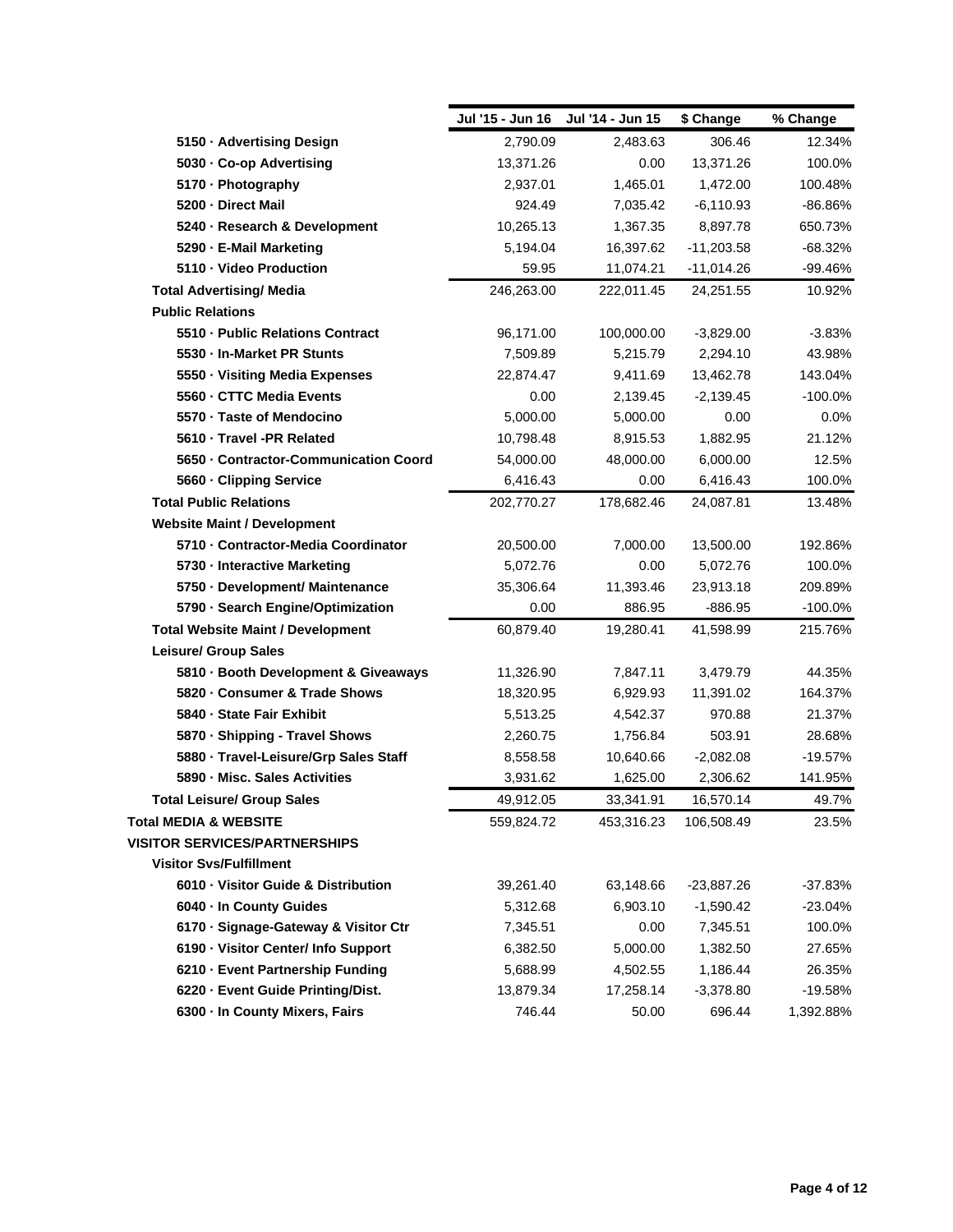|                                          | Jul '15 - Jun 16 | Jul '14 - Jun 15 | \$ Change    | % Change  |
|------------------------------------------|------------------|------------------|--------------|-----------|
| 5150 · Advertising Design                | 2,790.09         | 2,483.63         | 306.46       | 12.34%    |
| 5030 - Co-op Advertising                 | 13,371.26        | 0.00             | 13,371.26    | 100.0%    |
| 5170 - Photography                       | 2,937.01         | 1,465.01         | 1,472.00     | 100.48%   |
| 5200 - Direct Mail                       | 924.49           | 7,035.42         | $-6,110.93$  | $-86.86%$ |
| 5240 · Research & Development            | 10,265.13        | 1,367.35         | 8,897.78     | 650.73%   |
| 5290 - E-Mail Marketing                  | 5,194.04         | 16,397.62        | $-11,203.58$ | $-68.32%$ |
| 5110 - Video Production                  | 59.95            | 11,074.21        | $-11,014.26$ | -99.46%   |
| <b>Total Advertising/ Media</b>          | 246,263.00       | 222,011.45       | 24,251.55    | 10.92%    |
| <b>Public Relations</b>                  |                  |                  |              |           |
| 5510 - Public Relations Contract         | 96,171.00        | 100,000.00       | $-3,829.00$  | $-3.83%$  |
| 5530 - In-Market PR Stunts               | 7,509.89         | 5,215.79         | 2,294.10     | 43.98%    |
| 5550 · Visiting Media Expenses           | 22,874.47        | 9,411.69         | 13,462.78    | 143.04%   |
| 5560 - CTTC Media Events                 | 0.00             | 2,139.45         | $-2,139.45$  | $-100.0%$ |
| 5570 · Taste of Mendocino                | 5,000.00         | 5,000.00         | 0.00         | 0.0%      |
| 5610 - Travel -PR Related                | 10,798.48        | 8,915.53         | 1,882.95     | 21.12%    |
| 5650 - Contractor-Communication Coord    | 54,000.00        | 48,000.00        | 6,000.00     | 12.5%     |
| 5660 - Clipping Service                  | 6,416.43         | 0.00             | 6,416.43     | 100.0%    |
| <b>Total Public Relations</b>            | 202,770.27       | 178,682.46       | 24,087.81    | 13.48%    |
| <b>Website Maint / Development</b>       |                  |                  |              |           |
| 5710 - Contractor-Media Coordinator      | 20,500.00        | 7,000.00         | 13,500.00    | 192.86%   |
| 5730 - Interactive Marketing             | 5,072.76         | 0.00             | 5,072.76     | 100.0%    |
| 5750 - Development/ Maintenance          | 35,306.64        | 11,393.46        | 23,913.18    | 209.89%   |
| 5790 · Search Engine/Optimization        | 0.00             | 886.95           | $-886.95$    | $-100.0%$ |
| <b>Total Website Maint / Development</b> | 60,879.40        | 19,280.41        | 41,598.99    | 215.76%   |
| <b>Leisure/ Group Sales</b>              |                  |                  |              |           |
| 5810 · Booth Development & Giveaways     | 11,326.90        | 7,847.11         | 3,479.79     | 44.35%    |
| 5820 · Consumer & Trade Shows            | 18,320.95        | 6,929.93         | 11,391.02    | 164.37%   |
| 5840 - State Fair Exhibit                | 5,513.25         | 4,542.37         | 970.88       | 21.37%    |
| 5870 · Shipping - Travel Shows           | 2,260.75         | 1,756.84         | 503.91       | 28.68%    |
| 5880 - Travel-Leisure/Grp Sales Staff    | 8,558.58         | 10,640.66        | $-2,082.08$  | $-19.57%$ |
| 5890 - Misc. Sales Activities            | 3,931.62         | 1,625.00         | 2,306.62     | 141.95%   |
| <b>Total Leisure/ Group Sales</b>        | 49,912.05        | 33,341.91        | 16,570.14    | 49.7%     |
| Total MEDIA & WEBSITE                    | 559,824.72       | 453,316.23       | 106,508.49   | 23.5%     |
| <b>VISITOR SERVICES/PARTNERSHIPS</b>     |                  |                  |              |           |
| <b>Visitor Svs/Fulfillment</b>           |                  |                  |              |           |
| 6010 · Visitor Guide & Distribution      | 39,261.40        | 63,148.66        | $-23,887.26$ | $-37.83%$ |
| 6040 · In County Guides                  | 5,312.68         | 6,903.10         | $-1,590.42$  | $-23.04%$ |
| 6170 · Signage-Gateway & Visitor Ctr     | 7,345.51         | 0.00             | 7,345.51     | 100.0%    |
| 6190 - Visitor Center/ Info Support      | 6,382.50         | 5,000.00         | 1,382.50     | 27.65%    |
| 6210 · Event Partnership Funding         | 5,688.99         | 4,502.55         | 1,186.44     | 26.35%    |
| 6220 - Event Guide Printing/Dist.        | 13,879.34        | 17,258.14        | $-3,378.80$  | $-19.58%$ |
| 6300 - In County Mixers, Fairs           | 746.44           | 50.00            | 696.44       | 1,392.88% |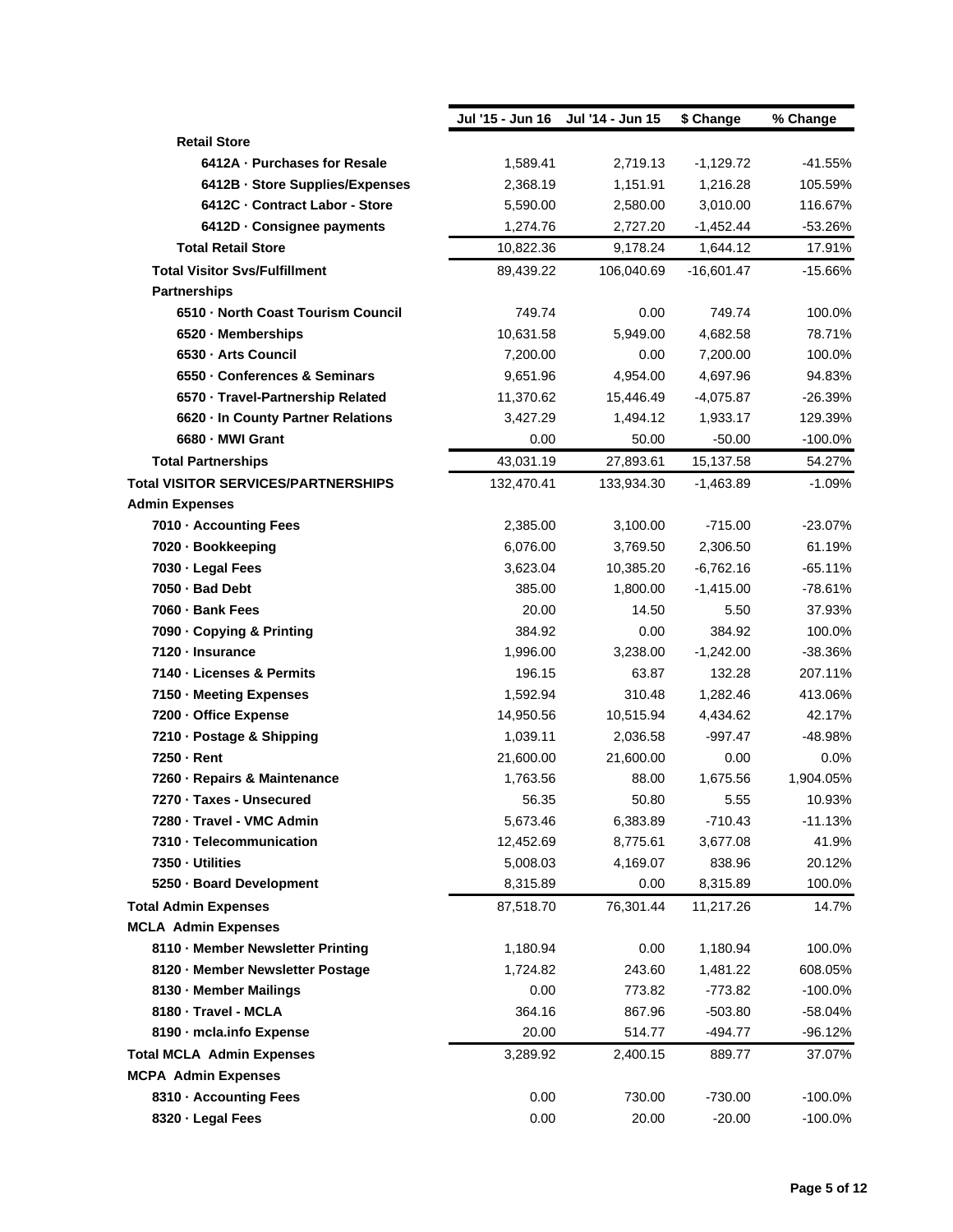|                                      | Jul '15 - Jun 16 | Jul '14 - Jun 15 | \$ Change    | % Change  |
|--------------------------------------|------------------|------------------|--------------|-----------|
| <b>Retail Store</b>                  |                  |                  |              |           |
| 6412A - Purchases for Resale         | 1,589.41         | 2,719.13         | $-1,129.72$  | $-41.55%$ |
| 6412B · Store Supplies/Expenses      | 2,368.19         | 1,151.91         | 1,216.28     | 105.59%   |
| 6412C - Contract Labor - Store       | 5,590.00         | 2,580.00         | 3,010.00     | 116.67%   |
| 6412D - Consignee payments           | 1,274.76         | 2,727.20         | $-1,452.44$  | -53.26%   |
| <b>Total Retail Store</b>            | 10,822.36        | 9,178.24         | 1,644.12     | 17.91%    |
| <b>Total Visitor Svs/Fulfillment</b> | 89,439.22        | 106,040.69       | $-16,601.47$ | $-15.66%$ |
| <b>Partnerships</b>                  |                  |                  |              |           |
| 6510 - North Coast Tourism Council   | 749.74           | 0.00             | 749.74       | 100.0%    |
| 6520 · Memberships                   | 10,631.58        | 5,949.00         | 4,682.58     | 78.71%    |
| 6530 - Arts Council                  | 7,200.00         | 0.00             | 7,200.00     | 100.0%    |
| 6550 · Conferences & Seminars        | 9,651.96         | 4,954.00         | 4,697.96     | 94.83%    |
| 6570 · Travel-Partnership Related    | 11,370.62        | 15,446.49        | $-4,075.87$  | $-26.39%$ |
| 6620 · In County Partner Relations   | 3,427.29         | 1,494.12         | 1,933.17     | 129.39%   |
| 6680 - MWI Grant                     | 0.00             | 50.00            | $-50.00$     | $-100.0%$ |
| <b>Total Partnerships</b>            | 43,031.19        | 27,893.61        | 15,137.58    | 54.27%    |
| Total VISITOR SERVICES/PARTNERSHIPS  | 132,470.41       | 133,934.30       | $-1,463.89$  | $-1.09%$  |
| <b>Admin Expenses</b>                |                  |                  |              |           |
| 7010 - Accounting Fees               | 2,385.00         | 3,100.00         | $-715.00$    | $-23.07%$ |
| 7020 · Bookkeeping                   | 6,076.00         | 3,769.50         | 2,306.50     | 61.19%    |
| 7030 - Legal Fees                    | 3,623.04         | 10,385.20        | $-6,762.16$  | $-65.11%$ |
| 7050 - Bad Debt                      | 385.00           | 1,800.00         | $-1,415.00$  | $-78.61%$ |
| 7060 - Bank Fees                     | 20.00            | 14.50            | 5.50         | 37.93%    |
| 7090 - Copying & Printing            | 384.92           | 0.00             | 384.92       | 100.0%    |
| 7120 - Insurance                     | 1,996.00         | 3,238.00         | $-1,242.00$  | -38.36%   |
| 7140 - Licenses & Permits            | 196.15           | 63.87            | 132.28       | 207.11%   |
| 7150 - Meeting Expenses              | 1,592.94         | 310.48           | 1,282.46     | 413.06%   |
| 7200 - Office Expense                | 14,950.56        | 10,515.94        | 4,434.62     | 42.17%    |
| 7210 - Postage & Shipping            | 1,039.11         | 2,036.58         | $-997.47$    | -48.98%   |
| 7250 - Rent                          | 21,600.00        | 21,600.00        | 0.00         | 0.0%      |
| 7260 - Repairs & Maintenance         | 1,763.56         | 88.00            | 1,675.56     | 1,904.05% |
| 7270 · Taxes - Unsecured             | 56.35            | 50.80            | 5.55         | 10.93%    |
| 7280 - Travel - VMC Admin            | 5,673.46         | 6,383.89         | $-710.43$    | $-11.13%$ |
| 7310 - Telecommunication             | 12,452.69        | 8,775.61         | 3,677.08     | 41.9%     |
| 7350 - Utilities                     | 5,008.03         | 4,169.07         | 838.96       | 20.12%    |
| 5250 · Board Development             | 8,315.89         | 0.00             | 8,315.89     | 100.0%    |
| <b>Total Admin Expenses</b>          | 87,518.70        | 76,301.44        | 11,217.26    | 14.7%     |
| <b>MCLA Admin Expenses</b>           |                  |                  |              |           |
| 8110 - Member Newsletter Printing    | 1,180.94         | 0.00             | 1,180.94     | 100.0%    |
| 8120 · Member Newsletter Postage     | 1,724.82         | 243.60           | 1,481.22     | 608.05%   |
| 8130 - Member Mailings               | 0.00             | 773.82           | $-773.82$    | $-100.0%$ |
| 8180 - Travel - MCLA                 | 364.16           | 867.96           | $-503.80$    | -58.04%   |
| 8190 - mcla.info Expense             | 20.00            | 514.77           | -494.77      | $-96.12%$ |
| <b>Total MCLA Admin Expenses</b>     | 3,289.92         | 2,400.15         | 889.77       | 37.07%    |
| <b>MCPA Admin Expenses</b>           |                  |                  |              |           |
| 8310 - Accounting Fees               | 0.00             | 730.00           | $-730.00$    | $-100.0%$ |
| 8320 · Legal Fees                    | 0.00             | 20.00            | $-20.00$     | $-100.0%$ |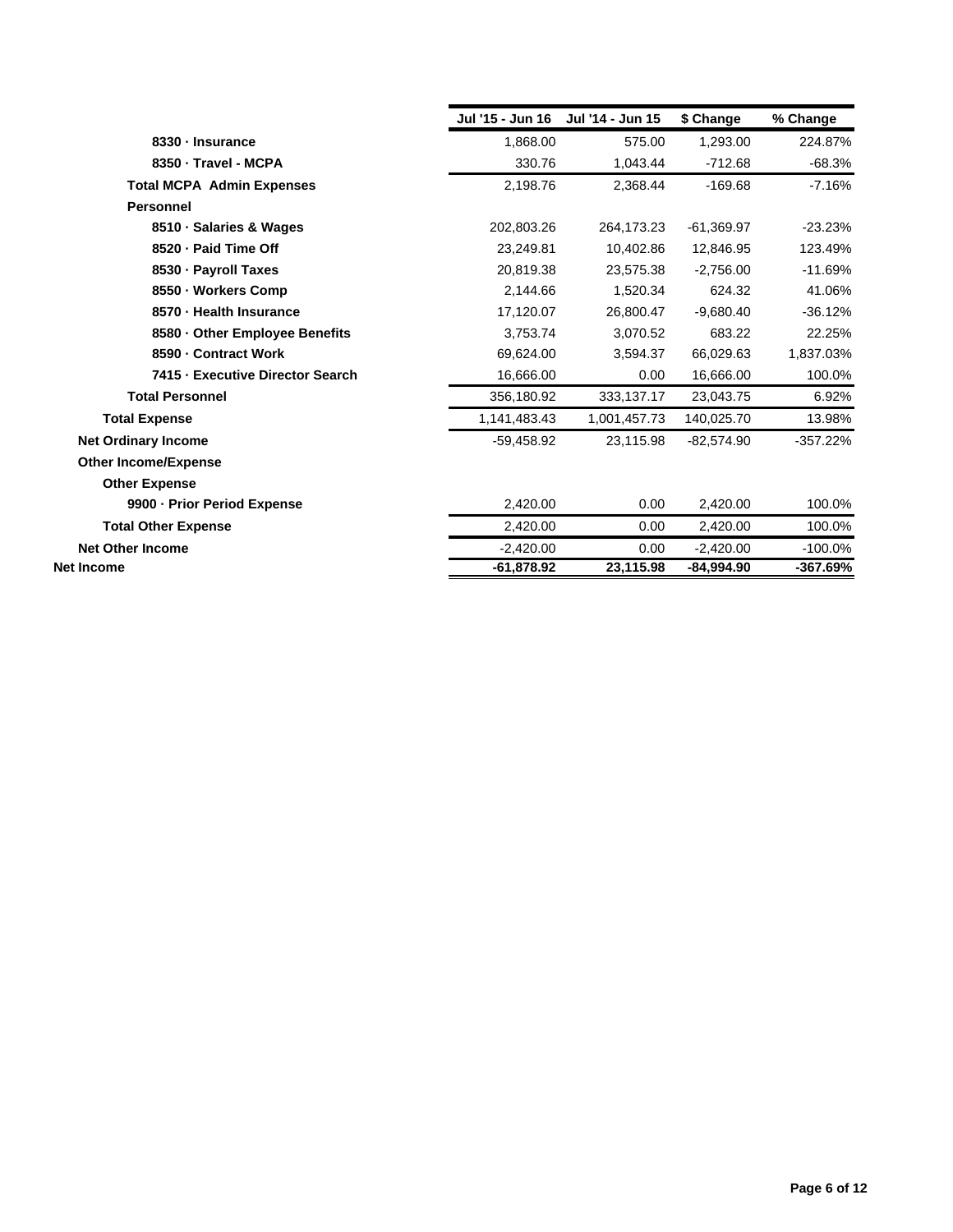|                                  | Jul '15 - Jun 16 | Jul '14 - Jun 15 | \$ Change    | % Change   |
|----------------------------------|------------------|------------------|--------------|------------|
| 8330 - Insurance                 | 1,868.00         | 575.00           | 1.293.00     | 224.87%    |
| 8350 - Travel - MCPA             | 330.76           | 1,043.44         | $-712.68$    | $-68.3%$   |
| <b>Total MCPA Admin Expenses</b> | 2.198.76         | 2.368.44         | $-169.68$    | $-7.16%$   |
| <b>Personnel</b>                 |                  |                  |              |            |
| 8510 · Salaries & Wages          | 202,803.26       | 264,173.23       | $-61,369.97$ | $-23.23%$  |
| 8520 - Paid Time Off             | 23.249.81        | 10,402.86        | 12.846.95    | 123.49%    |
| 8530 · Payroll Taxes             | 20,819.38        | 23,575.38        | $-2,756.00$  | $-11.69%$  |
| 8550 · Workers Comp              | 2,144.66         | 1,520.34         | 624.32       | 41.06%     |
| 8570 - Health Insurance          | 17,120.07        | 26,800.47        | $-9,680.40$  | $-36.12%$  |
| 8580 - Other Employee Benefits   | 3,753.74         | 3,070.52         | 683.22       | 22.25%     |
| 8590 - Contract Work             | 69,624.00        | 3,594.37         | 66,029.63    | 1,837.03%  |
| 7415 - Executive Director Search | 16,666.00        | 0.00             | 16,666.00    | 100.0%     |
| <b>Total Personnel</b>           | 356,180.92       | 333,137.17       | 23,043.75    | 6.92%      |
| <b>Total Expense</b>             | 1,141,483.43     | 1,001,457.73     | 140,025.70   | 13.98%     |
| <b>Net Ordinary Income</b>       | $-59,458.92$     | 23,115.98        | $-82,574.90$ | $-357.22%$ |
| <b>Other Income/Expense</b>      |                  |                  |              |            |
| <b>Other Expense</b>             |                  |                  |              |            |
| 9900 - Prior Period Expense      | 2,420.00         | 0.00             | 2,420.00     | 100.0%     |
| <b>Total Other Expense</b>       | 2,420.00         | 0.00             | 2,420.00     | 100.0%     |
| <b>Net Other Income</b>          | $-2,420.00$      | 0.00             | $-2,420.00$  | $-100.0%$  |
| Net Income                       | $-61,878.92$     | 23,115.98        | -84,994.90   | -367.69%   |
|                                  |                  |                  |              |            |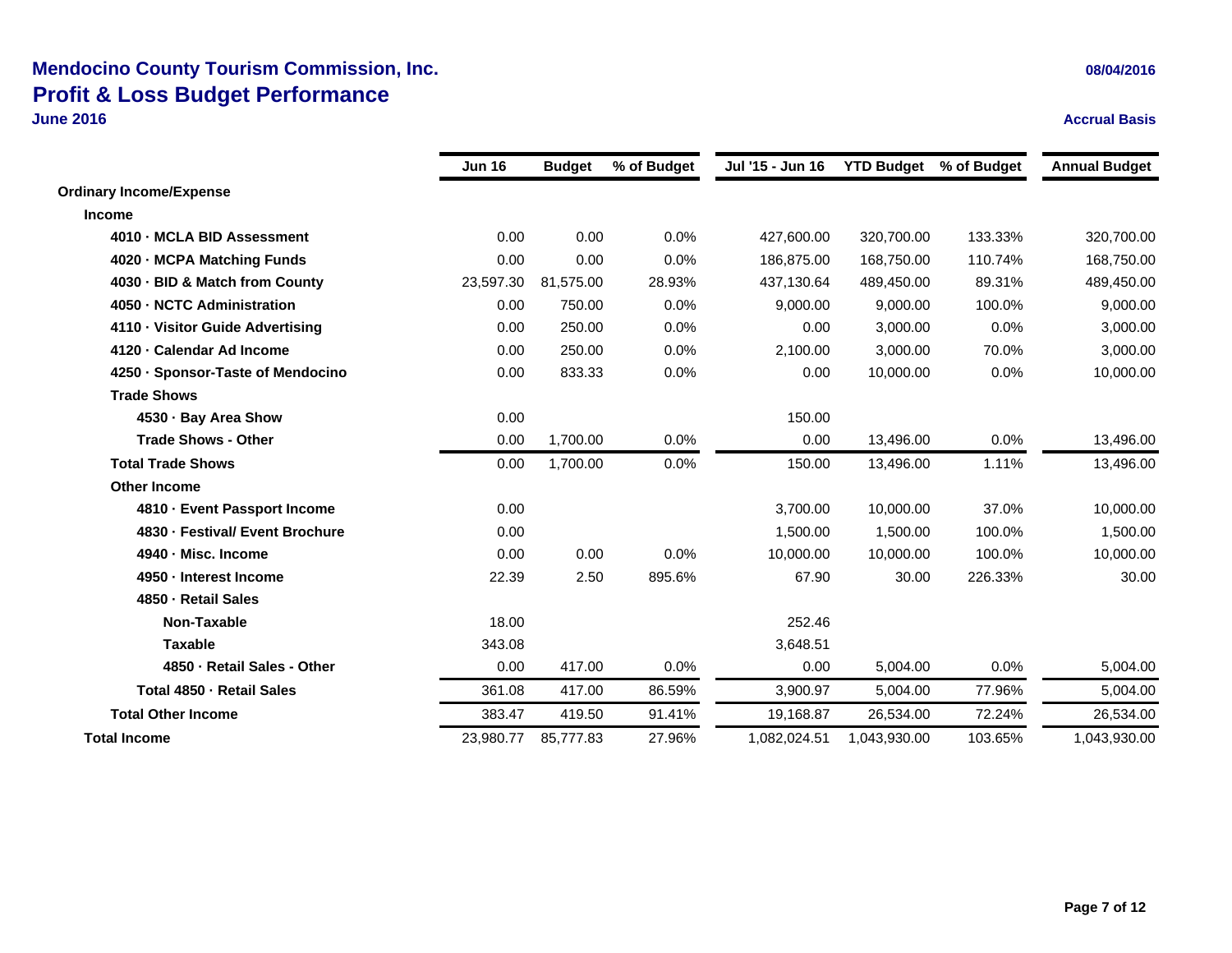### **Mendocino County Tourism Commission, Inc. 08/04/2016 Profit & Loss Budget Performance June 2016**

 **Accrual Basis Jun 16 Budget % of Budget Jul '15 - Jun 16 YTD Budget % of Budget Annual Budget**

| <b></b>   | puugut    | 70 UI Duugut | vui iv vuille | n no paagot  | w or buugut | Annuar Duugut                                                                                                          |
|-----------|-----------|--------------|---------------|--------------|-------------|------------------------------------------------------------------------------------------------------------------------|
|           |           |              |               |              |             |                                                                                                                        |
|           |           |              |               |              |             |                                                                                                                        |
| 0.00      | 0.00      | 0.0%         | 427,600.00    | 320,700.00   | 133.33%     | 320,700.00                                                                                                             |
| 0.00      | 0.00      | 0.0%         | 186,875.00    | 168,750.00   | 110.74%     | 168,750.00                                                                                                             |
| 23,597.30 | 81,575.00 | 28.93%       | 437,130.64    |              | 89.31%      | 489,450.00                                                                                                             |
| 0.00      | 750.00    | 0.0%         | 9,000.00      |              | 100.0%      | 9,000.00                                                                                                               |
| 0.00      | 250.00    | 0.0%         | 0.00          |              | 0.0%        | 3,000.00                                                                                                               |
| 0.00      | 250.00    | 0.0%         | 2,100.00      | 3,000.00     | 70.0%       | 3,000.00                                                                                                               |
| 0.00      | 833.33    | 0.0%         | 0.00          | 10,000.00    | 0.0%        | 10,000.00                                                                                                              |
|           |           |              |               |              |             |                                                                                                                        |
| 0.00      |           |              | 150.00        |              |             |                                                                                                                        |
| 0.00      | 1,700.00  | 0.0%         | 0.00          |              | 0.0%        | 13,496.00                                                                                                              |
| 0.00      | 1,700.00  | 0.0%         | 150.00        | 13,496.00    | 1.11%       | 13,496.00                                                                                                              |
|           |           |              |               |              |             |                                                                                                                        |
| 0.00      |           |              | 3,700.00      |              | 37.0%       | 10,000.00                                                                                                              |
| 0.00      |           |              | 1,500.00      |              | 100.0%      | 1,500.00                                                                                                               |
| 0.00      | 0.00      | 0.0%         | 10,000.00     |              | 100.0%      | 10,000.00                                                                                                              |
| 22.39     | 2.50      | 895.6%       | 67.90         |              | 226.33%     | 30.00                                                                                                                  |
|           |           |              |               |              |             |                                                                                                                        |
| 18.00     |           |              | 252.46        |              |             |                                                                                                                        |
| 343.08    |           |              | 3,648.51      |              |             |                                                                                                                        |
| 0.00      | 417.00    | 0.0%         | 0.00          |              | 0.0%        | 5,004.00                                                                                                               |
| 361.08    | 417.00    | 86.59%       | 3,900.97      |              | 77.96%      | 5,004.00                                                                                                               |
| 383.47    | 419.50    | 91.41%       | 19,168.87     | 26,534.00    | 72.24%      | 26,534.00                                                                                                              |
| 23,980.77 | 85,777.83 | 27.96%       | 1,082,024.51  | 1,043,930.00 | 103.65%     | 1,043,930.00                                                                                                           |
|           |           |              |               |              |             | 489,450.00<br>9,000.00<br>3,000.00<br>13,496.00<br>10,000.00<br>1,500.00<br>10,000.00<br>30.00<br>5,004.00<br>5,004.00 |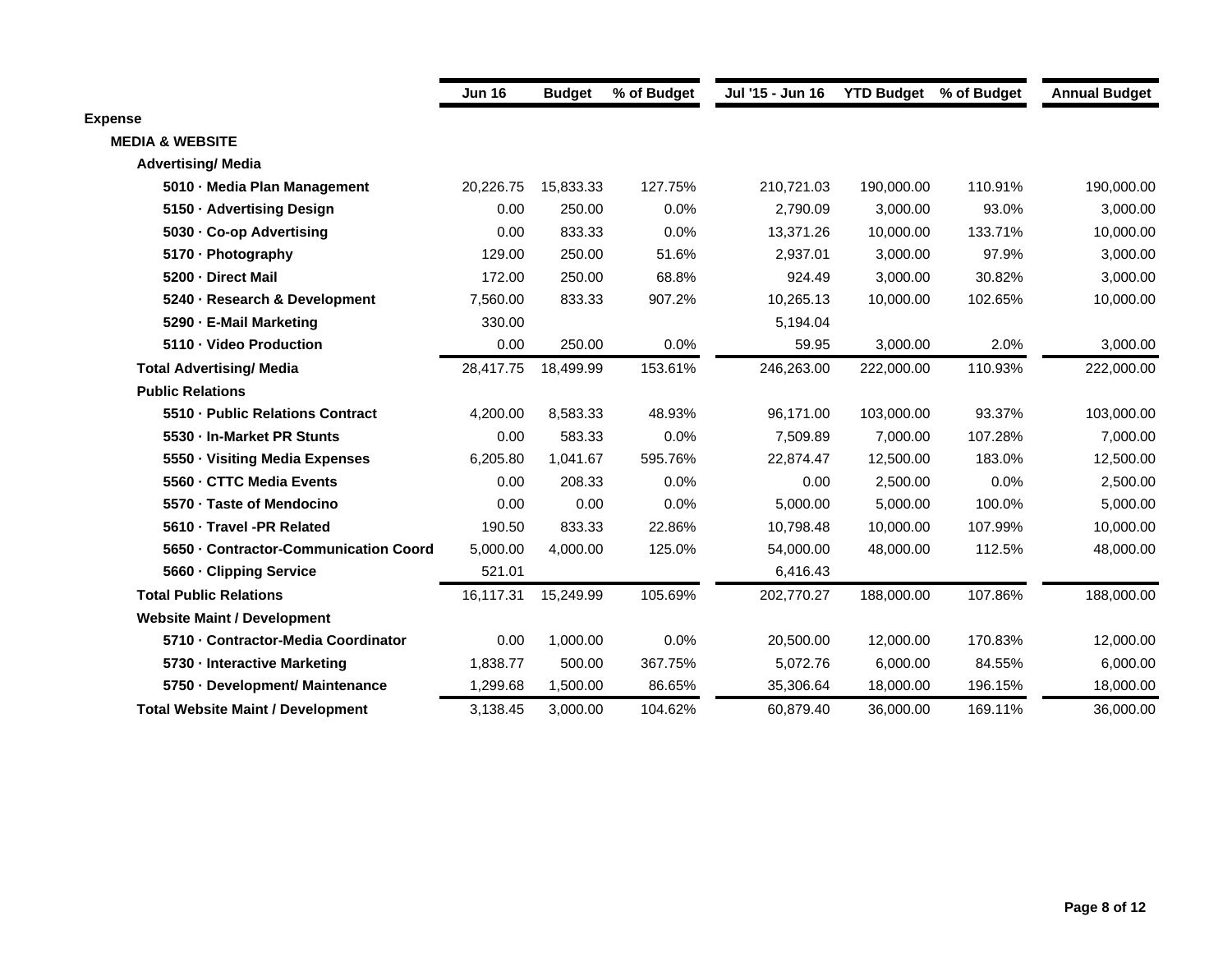|                                          | <b>Jun 16</b> | <b>Budget</b> | % of Budget | Jul '15 - Jun 16 | <b>YTD Budget</b> % of Budget |         | <b>Annual Budget</b> |
|------------------------------------------|---------------|---------------|-------------|------------------|-------------------------------|---------|----------------------|
| <b>Expense</b>                           |               |               |             |                  |                               |         |                      |
| <b>MEDIA &amp; WEBSITE</b>               |               |               |             |                  |                               |         |                      |
| <b>Advertising/ Media</b>                |               |               |             |                  |                               |         |                      |
| 5010 Media Plan Management               | 20,226.75     | 15,833.33     | 127.75%     | 210,721.03       | 190,000.00                    | 110.91% | 190,000.00           |
| 5150 Advertising Design                  | 0.00          | 250.00        | 0.0%        | 2,790.09         | 3,000.00                      | 93.0%   | 3,000.00             |
| 5030 Co-op Advertising                   | 0.00          | 833.33        | 0.0%        | 13,371.26        | 10,000.00                     | 133.71% | 10,000.00            |
| 5170 - Photography                       | 129.00        | 250.00        | 51.6%       | 2,937.01         | 3,000.00                      | 97.9%   | 3,000.00             |
| 5200 - Direct Mail                       | 172.00        | 250.00        | 68.8%       | 924.49           | 3,000.00                      | 30.82%  | 3,000.00             |
| 5240 Research & Development              | 7,560.00      | 833.33        | 907.2%      | 10,265.13        | 10,000.00                     | 102.65% | 10,000.00            |
| 5290 E-Mail Marketing                    | 330.00        |               |             | 5,194.04         |                               |         |                      |
| 5110 - Video Production                  | 0.00          | 250.00        | 0.0%        | 59.95            | 3,000.00                      | 2.0%    | 3,000.00             |
| <b>Total Advertising/ Media</b>          | 28,417.75     | 18,499.99     | 153.61%     | 246,263.00       | 222,000.00                    | 110.93% | 222,000.00           |
| <b>Public Relations</b>                  |               |               |             |                  |                               |         |                      |
| 5510 Public Relations Contract           | 4,200.00      | 8,583.33      | 48.93%      | 96,171.00        | 103,000.00                    | 93.37%  | 103,000.00           |
| 5530 - In-Market PR Stunts               | 0.00          | 583.33        | 0.0%        | 7,509.89         | 7,000.00                      | 107.28% | 7,000.00             |
| 5550 Visiting Media Expenses             | 6,205.80      | 1,041.67      | 595.76%     | 22,874.47        | 12,500.00                     | 183.0%  | 12,500.00            |
| 5560 - CTTC Media Events                 | 0.00          | 208.33        | 0.0%        | 0.00             | 2,500.00                      | 0.0%    | 2,500.00             |
| 5570 - Taste of Mendocino                | 0.00          | 0.00          | 0.0%        | 5,000.00         | 5,000.00                      | 100.0%  | 5,000.00             |
| 5610 Travel -PR Related                  | 190.50        | 833.33        | 22.86%      | 10,798.48        | 10,000.00                     | 107.99% | 10,000.00            |
| 5650 - Contractor-Communication Coord    | 5,000.00      | 4,000.00      | 125.0%      | 54,000.00        | 48,000.00                     | 112.5%  | 48,000.00            |
| 5660 Clipping Service                    | 521.01        |               |             | 6,416.43         |                               |         |                      |
| <b>Total Public Relations</b>            | 16,117.31     | 15,249.99     | 105.69%     | 202,770.27       | 188,000.00                    | 107.86% | 188,000.00           |
| <b>Website Maint / Development</b>       |               |               |             |                  |                               |         |                      |
| 5710 - Contractor-Media Coordinator      | 0.00          | 1,000.00      | 0.0%        | 20,500.00        | 12,000.00                     | 170.83% | 12,000.00            |
| 5730 Interactive Marketing               | 1,838.77      | 500.00        | 367.75%     | 5,072.76         | 6,000.00                      | 84.55%  | 6,000.00             |
| 5750 Development/ Maintenance            | 1,299.68      | 1,500.00      | 86.65%      | 35,306.64        | 18,000.00                     | 196.15% | 18,000.00            |
| <b>Total Website Maint / Development</b> | 3,138.45      | 3.000.00      | 104.62%     | 60.879.40        | 36.000.00                     | 169.11% | 36.000.00            |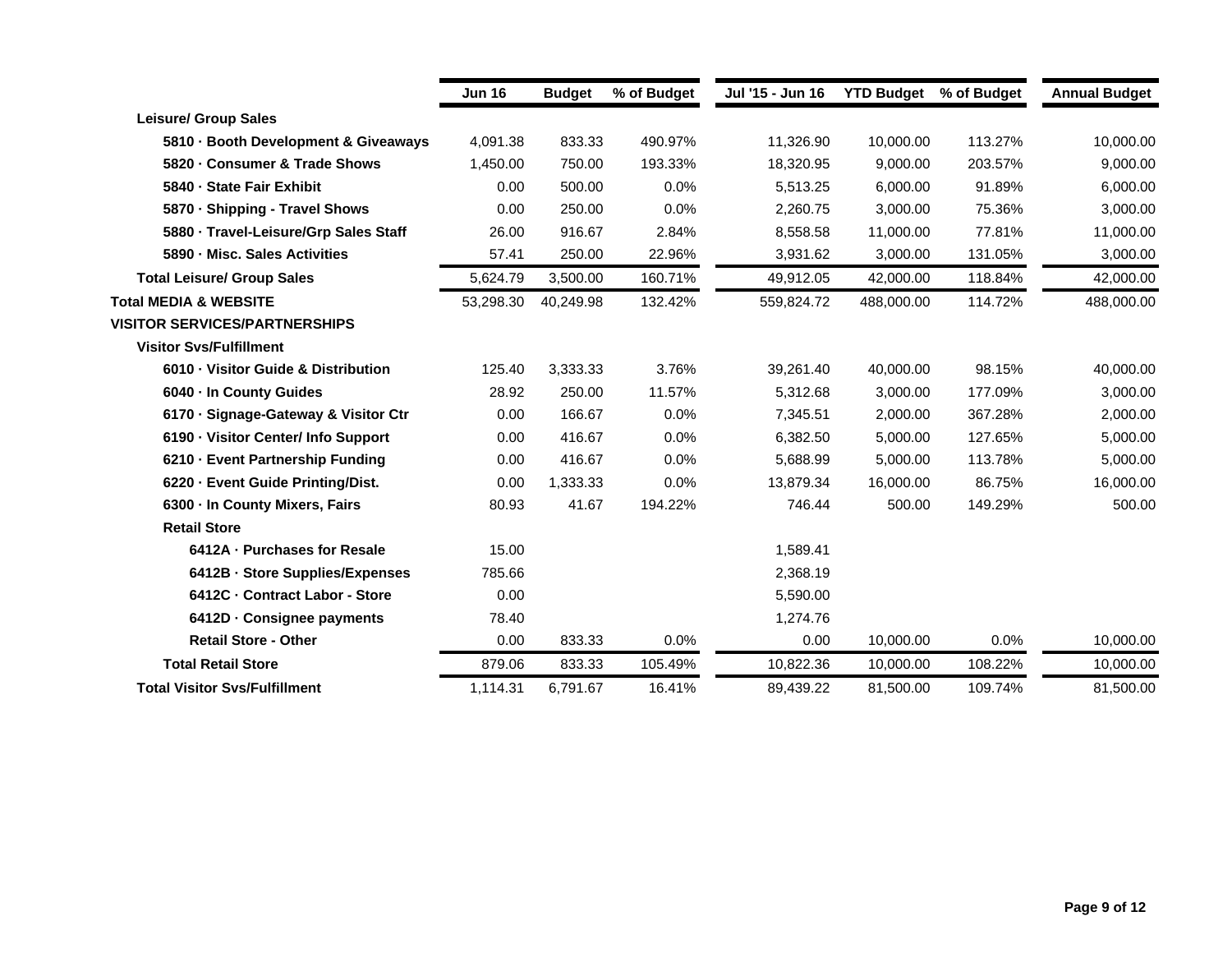|                                      | <b>Jun 16</b> | <b>Budget</b> | % of Budget | Jul '15 - Jun 16 | <b>YTD Budget</b> | % of Budget | <b>Annual Budget</b> |
|--------------------------------------|---------------|---------------|-------------|------------------|-------------------|-------------|----------------------|
| <b>Leisure/ Group Sales</b>          |               |               |             |                  |                   |             |                      |
| 5810 Booth Development & Giveaways   | 4,091.38      | 833.33        | 490.97%     | 11,326.90        | 10,000.00         | 113.27%     | 10,000.00            |
| 5820 Consumer & Trade Shows          | 1.450.00      | 750.00        | 193.33%     | 18.320.95        | 9.000.00          | 203.57%     | 9,000.00             |
| 5840 - State Fair Exhibit            | 0.00          | 500.00        | 0.0%        | 5,513.25         | 6,000.00          | 91.89%      | 6,000.00             |
| 5870 Shipping - Travel Shows         | 0.00          | 250.00        | 0.0%        | 2,260.75         | 3,000.00          | 75.36%      | 3,000.00             |
| 5880 Travel-Leisure/Grp Sales Staff  | 26.00         | 916.67        | 2.84%       | 8,558.58         | 11,000.00         | 77.81%      | 11,000.00            |
| 5890 Misc. Sales Activities          | 57.41         | 250.00        | 22.96%      | 3,931.62         | 3.000.00          | 131.05%     | 3,000.00             |
| <b>Total Leisure/ Group Sales</b>    | 5.624.79      | 3.500.00      | 160.71%     | 49.912.05        | 42,000,00         | 118.84%     | 42,000.00            |
| <b>Total MEDIA &amp; WEBSITE</b>     | 53,298.30     | 40,249.98     | 132.42%     | 559,824.72       | 488,000.00        | 114.72%     | 488,000.00           |
| <b>VISITOR SERVICES/PARTNERSHIPS</b> |               |               |             |                  |                   |             |                      |
| <b>Visitor Svs/Fulfillment</b>       |               |               |             |                  |                   |             |                      |
| 6010 Visitor Guide & Distribution    | 125.40        | 3,333.33      | 3.76%       | 39,261.40        | 40,000.00         | 98.15%      | 40,000.00            |
| 6040 In County Guides                | 28.92         | 250.00        | 11.57%      | 5,312.68         | 3,000.00          | 177.09%     | 3,000.00             |
| 6170 Signage-Gateway & Visitor Ctr   | 0.00          | 166.67        | 0.0%        | 7,345.51         | 2,000.00          | 367.28%     | 2,000.00             |
| 6190 Visitor Center/ Info Support    | 0.00          | 416.67        | 0.0%        | 6,382.50         | 5,000.00          | 127.65%     | 5,000.00             |
| 6210 Event Partnership Funding       | 0.00          | 416.67        | 0.0%        | 5,688.99         | 5,000.00          | 113.78%     | 5,000.00             |
| 6220 - Event Guide Printing/Dist.    | 0.00          | 1,333.33      | 0.0%        | 13,879.34        | 16,000.00         | 86.75%      | 16,000.00            |
| 6300 - In County Mixers, Fairs       | 80.93         | 41.67         | 194.22%     | 746.44           | 500.00            | 149.29%     | 500.00               |
| <b>Retail Store</b>                  |               |               |             |                  |                   |             |                      |
| 6412A - Purchases for Resale         | 15.00         |               |             | 1,589.41         |                   |             |                      |
| 6412B - Store Supplies/Expenses      | 785.66        |               |             | 2,368.19         |                   |             |                      |
| 6412C - Contract Labor - Store       | 0.00          |               |             | 5,590.00         |                   |             |                      |
| 6412D - Consignee payments           | 78.40         |               |             | 1,274.76         |                   |             |                      |
| <b>Retail Store - Other</b>          | 0.00          | 833.33        | 0.0%        | 0.00             | 10,000.00         | 0.0%        | 10,000.00            |
| <b>Total Retail Store</b>            | 879.06        | 833.33        | 105.49%     | 10,822.36        | 10,000.00         | 108.22%     | 10,000.00            |
| <b>Total Visitor Sys/Fulfillment</b> | 1.114.31      | 6.791.67      | 16.41%      | 89,439.22        | 81.500.00         | 109.74%     | 81,500.00            |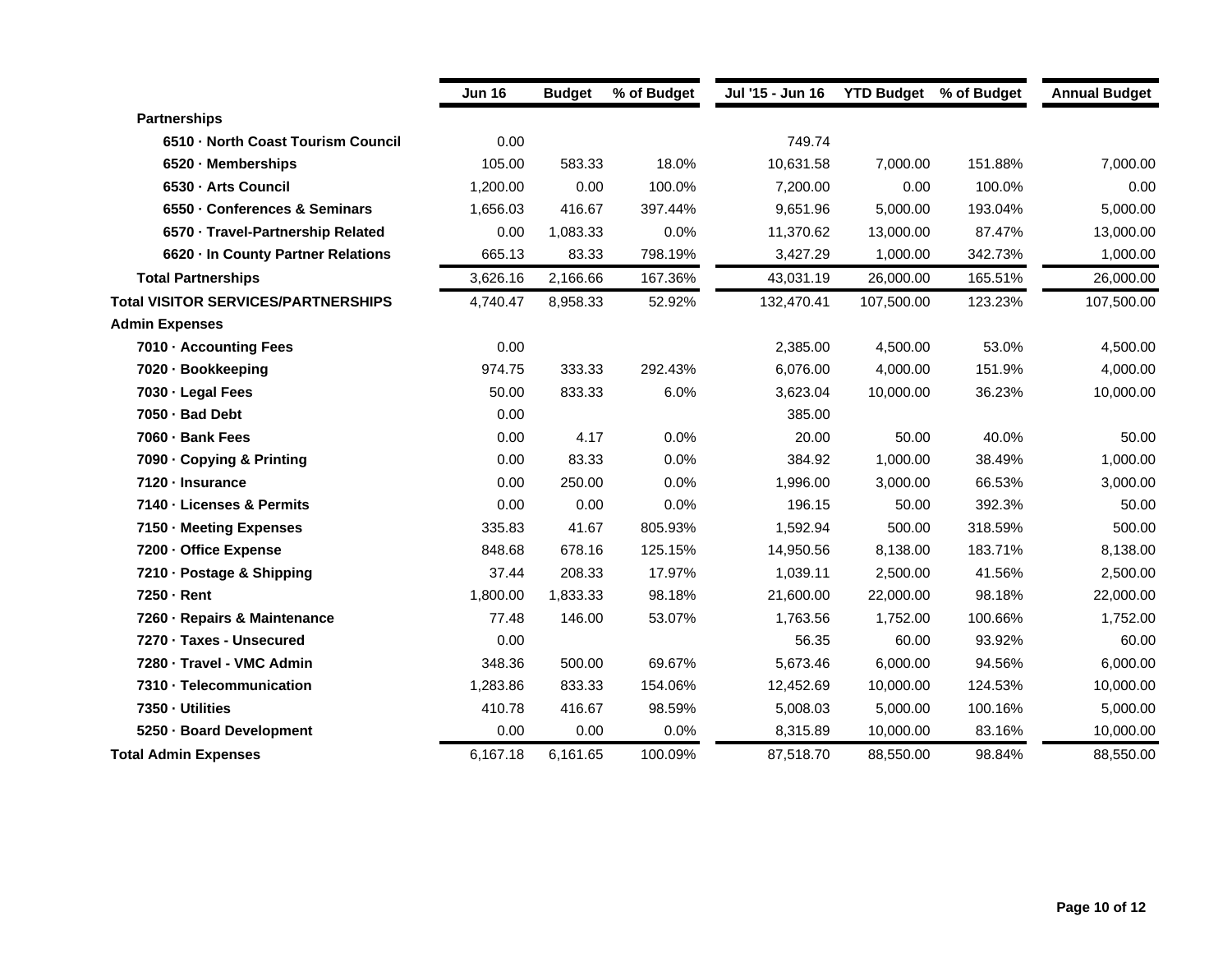|                                            | <b>Jun 16</b> | <b>Budget</b> | % of Budget | Jul '15 - Jun 16 | <b>YTD Budget</b> % of Budget |         | <b>Annual Budget</b> |
|--------------------------------------------|---------------|---------------|-------------|------------------|-------------------------------|---------|----------------------|
| <b>Partnerships</b>                        |               |               |             |                  |                               |         |                      |
| 6510 North Coast Tourism Council           | 0.00          |               |             | 749.74           |                               |         |                      |
| 6520 Memberships                           | 105.00        | 583.33        | 18.0%       | 10,631.58        | 7,000.00                      | 151.88% | 7,000.00             |
| 6530 - Arts Council                        | 1,200.00      | 0.00          | 100.0%      | 7,200.00         | 0.00                          | 100.0%  | 0.00                 |
| 6550 Conferences & Seminars                | 1,656.03      | 416.67        | 397.44%     | 9,651.96         | 5,000.00                      | 193.04% | 5,000.00             |
| 6570 · Travel-Partnership Related          | 0.00          | 1,083.33      | 0.0%        | 11,370.62        | 13,000.00                     | 87.47%  | 13,000.00            |
| 6620 In County Partner Relations           | 665.13        | 83.33         | 798.19%     | 3,427.29         | 1,000.00                      | 342.73% | 1,000.00             |
| <b>Total Partnerships</b>                  | 3,626.16      | 2,166.66      | 167.36%     | 43,031.19        | 26,000.00                     | 165.51% | 26,000.00            |
| <b>Total VISITOR SERVICES/PARTNERSHIPS</b> | 4,740.47      | 8,958.33      | 52.92%      | 132,470.41       | 107.500.00                    | 123.23% | 107,500.00           |
| <b>Admin Expenses</b>                      |               |               |             |                  |                               |         |                      |
| 7010 - Accounting Fees                     | 0.00          |               |             | 2,385.00         | 4,500.00                      | 53.0%   | 4,500.00             |
| 7020 - Bookkeeping                         | 974.75        | 333.33        | 292.43%     | 6,076.00         | 4,000.00                      | 151.9%  | 4,000.00             |
| 7030 - Legal Fees                          | 50.00         | 833.33        | 6.0%        | 3,623.04         | 10,000.00                     | 36.23%  | 10,000.00            |
| 7050 - Bad Debt                            | 0.00          |               |             | 385.00           |                               |         |                      |
| 7060 - Bank Fees                           | 0.00          | 4.17          | 0.0%        | 20.00            | 50.00                         | 40.0%   | 50.00                |
| 7090 - Copying & Printing                  | 0.00          | 83.33         | 0.0%        | 384.92           | 1,000.00                      | 38.49%  | 1,000.00             |
| 7120 - Insurance                           | 0.00          | 250.00        | 0.0%        | 1,996.00         | 3,000.00                      | 66.53%  | 3,000.00             |
| 7140 - Licenses & Permits                  | 0.00          | 0.00          | 0.0%        | 196.15           | 50.00                         | 392.3%  | 50.00                |
| 7150 - Meeting Expenses                    | 335.83        | 41.67         | 805.93%     | 1,592.94         | 500.00                        | 318.59% | 500.00               |
| 7200 - Office Expense                      | 848.68        | 678.16        | 125.15%     | 14,950.56        | 8,138.00                      | 183.71% | 8,138.00             |
| 7210 - Postage & Shipping                  | 37.44         | 208.33        | 17.97%      | 1,039.11         | 2,500.00                      | 41.56%  | 2,500.00             |
| 7250 - Rent                                | 1,800.00      | 1,833.33      | 98.18%      | 21,600.00        | 22,000.00                     | 98.18%  | 22,000.00            |
| 7260 - Repairs & Maintenance               | 77.48         | 146.00        | 53.07%      | 1,763.56         | 1,752.00                      | 100.66% | 1,752.00             |
| 7270 · Taxes - Unsecured                   | 0.00          |               |             | 56.35            | 60.00                         | 93.92%  | 60.00                |
| 7280 - Travel - VMC Admin                  | 348.36        | 500.00        | 69.67%      | 5,673.46         | 6,000.00                      | 94.56%  | 6,000.00             |
| 7310 - Telecommunication                   | 1,283.86      | 833.33        | 154.06%     | 12,452.69        | 10,000.00                     | 124.53% | 10,000.00            |
| 7350 - Utilities                           | 410.78        | 416.67        | 98.59%      | 5,008.03         | 5,000.00                      | 100.16% | 5,000.00             |
| 5250 - Board Development                   | 0.00          | 0.00          | 0.0%        | 8,315.89         | 10,000.00                     | 83.16%  | 10,000.00            |
| <b>Total Admin Expenses</b>                | 6,167.18      | 6,161.65      | 100.09%     | 87,518.70        | 88,550.00                     | 98.84%  | 88,550.00            |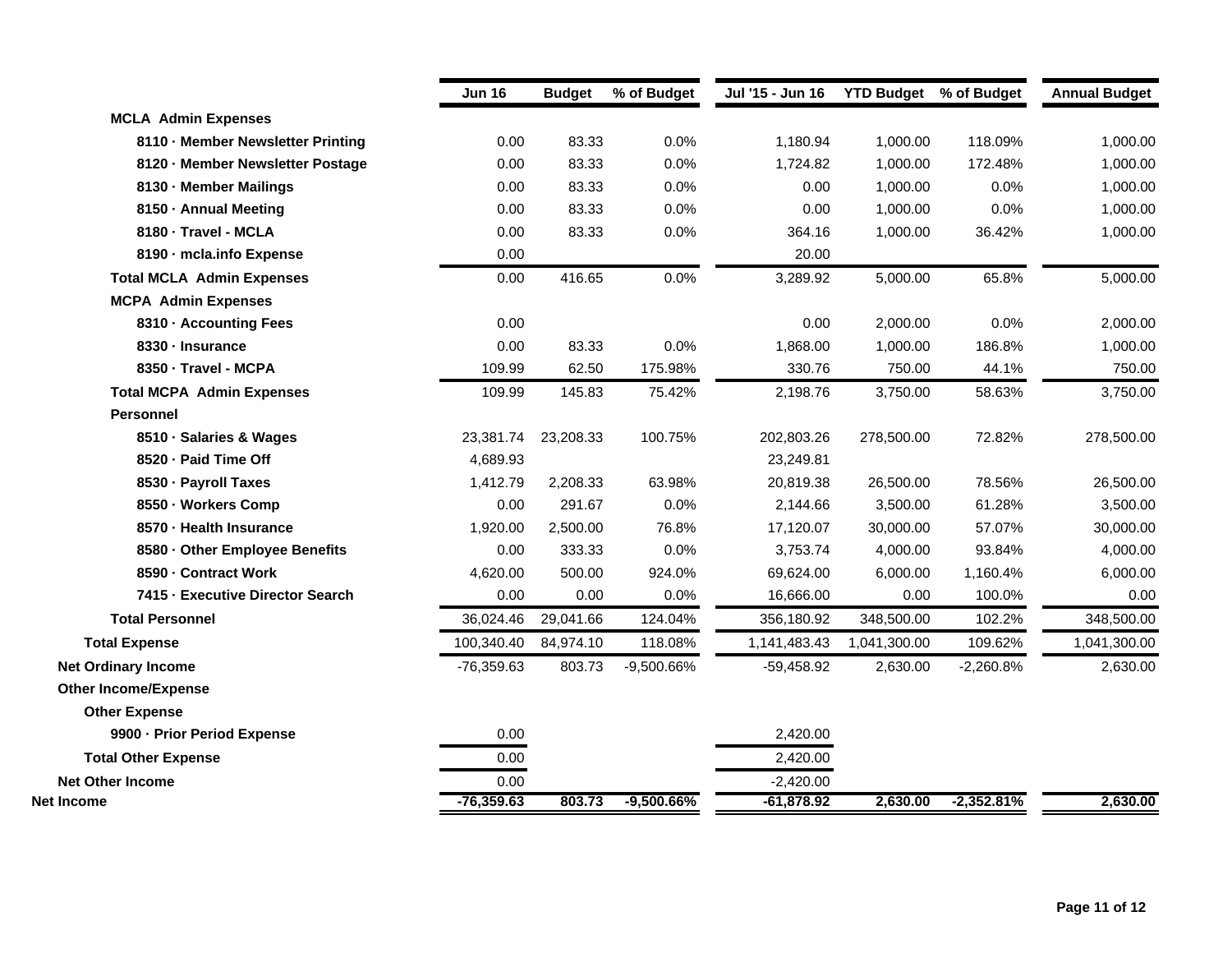|                                   | <b>Jun 16</b> | <b>Budget</b> | % of Budget  | Jul '15 - Jun 16 | <b>YTD Budget</b> % of Budget |              | <b>Annual Budget</b> |
|-----------------------------------|---------------|---------------|--------------|------------------|-------------------------------|--------------|----------------------|
| <b>MCLA Admin Expenses</b>        |               |               |              |                  |                               |              |                      |
| 8110 - Member Newsletter Printing | 0.00          | 83.33         | 0.0%         | 1,180.94         | 1,000.00                      | 118.09%      | 1,000.00             |
| 8120 - Member Newsletter Postage  | 0.00          | 83.33         | 0.0%         | 1,724.82         | 1,000.00                      | 172.48%      | 1,000.00             |
| 8130 - Member Mailings            | 0.00          | 83.33         | 0.0%         | 0.00             | 1,000.00                      | 0.0%         | 1,000.00             |
| 8150 - Annual Meeting             | 0.00          | 83.33         | 0.0%         | 0.00             | 1,000.00                      | 0.0%         | 1,000.00             |
| 8180 - Travel - MCLA              | 0.00          | 83.33         | 0.0%         | 364.16           | 1,000.00                      | 36.42%       | 1,000.00             |
| 8190 - mcla.info Expense          | 0.00          |               |              | 20.00            |                               |              |                      |
| <b>Total MCLA Admin Expenses</b>  | 0.00          | 416.65        | 0.0%         | 3,289.92         | 5,000.00                      | 65.8%        | 5,000.00             |
| <b>MCPA Admin Expenses</b>        |               |               |              |                  |                               |              |                      |
| 8310 - Accounting Fees            | 0.00          |               |              | 0.00             | 2,000.00                      | 0.0%         | 2,000.00             |
| 8330 - Insurance                  | 0.00          | 83.33         | 0.0%         | 1,868.00         | 1,000.00                      | 186.8%       | 1,000.00             |
| 8350 - Travel - MCPA              | 109.99        | 62.50         | 175.98%      | 330.76           | 750.00                        | 44.1%        | 750.00               |
| <b>Total MCPA Admin Expenses</b>  | 109.99        | 145.83        | 75.42%       | 2,198.76         | 3,750.00                      | 58.63%       | 3,750.00             |
| <b>Personnel</b>                  |               |               |              |                  |                               |              |                      |
| 8510 - Salaries & Wages           | 23,381.74     | 23,208.33     | 100.75%      | 202,803.26       | 278,500.00                    | 72.82%       | 278,500.00           |
| 8520 - Paid Time Off              | 4,689.93      |               |              | 23,249.81        |                               |              |                      |
| 8530 - Payroll Taxes              | 1,412.79      | 2,208.33      | 63.98%       | 20,819.38        | 26,500.00                     | 78.56%       | 26,500.00            |
| 8550 - Workers Comp               | 0.00          | 291.67        | 0.0%         | 2,144.66         | 3,500.00                      | 61.28%       | 3,500.00             |
| 8570 - Health Insurance           | 1,920.00      | 2,500.00      | 76.8%        | 17,120.07        | 30,000.00                     | 57.07%       | 30,000.00            |
| 8580 - Other Employee Benefits    | 0.00          | 333.33        | 0.0%         | 3,753.74         | 4,000.00                      | 93.84%       | 4,000.00             |
| 8590 - Contract Work              | 4,620.00      | 500.00        | 924.0%       | 69,624.00        | 6,000.00                      | 1,160.4%     | 6,000.00             |
| 7415 - Executive Director Search  | 0.00          | 0.00          | 0.0%         | 16,666.00        | 0.00                          | 100.0%       | 0.00                 |
| <b>Total Personnel</b>            | 36,024.46     | 29,041.66     | 124.04%      | 356,180.92       | 348,500.00                    | 102.2%       | 348,500.00           |
| <b>Total Expense</b>              | 100,340.40    | 84,974.10     | 118.08%      | 1,141,483.43     | 1,041,300.00                  | 109.62%      | 1,041,300.00         |
| <b>Net Ordinary Income</b>        | $-76,359.63$  | 803.73        | -9,500.66%   | $-59,458.92$     | 2,630.00                      | $-2,260.8%$  | 2,630.00             |
| <b>Other Income/Expense</b>       |               |               |              |                  |                               |              |                      |
| <b>Other Expense</b>              |               |               |              |                  |                               |              |                      |
| 9900 - Prior Period Expense       | 0.00          |               |              | 2,420.00         |                               |              |                      |
| <b>Total Other Expense</b>        | 0.00          |               |              | 2,420.00         |                               |              |                      |
| <b>Net Other Income</b>           | 0.00          |               |              | $-2,420.00$      |                               |              |                      |
| Net Income                        | $-76,359.63$  | 803.73        | $-9,500.66%$ | $-61,878.92$     | 2,630.00                      | $-2,352.81%$ | 2,630.00             |